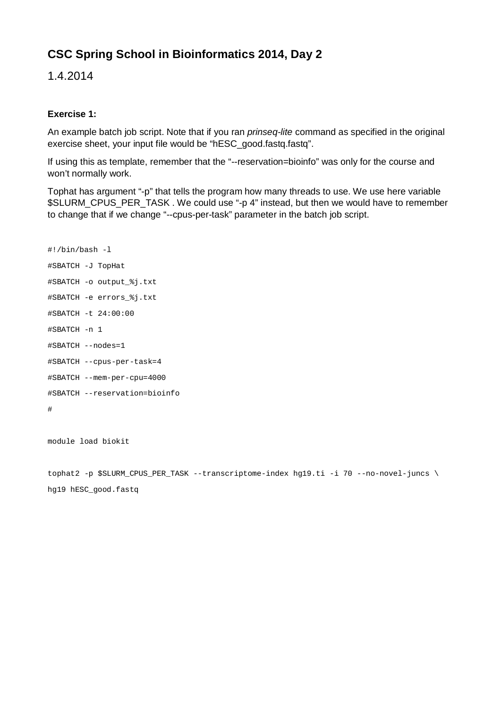# **CSC Spring School in Bioinformatics 2014, Day 2**

1.4.2014

## **Exercise 1:**

An example batch job script. Note that if you ran *prinseq-lite* command as specified in the original exercise sheet, your input file would be "hESC\_good.fastq.fastq".

If using this as template, remember that the "--reservation=bioinfo" was only for the course and won't normally work.

Tophat has argument "-p" that tells the program how many threads to use. We use here variable \$SLURM\_CPUS\_PER\_TASK . We could use "-p 4" instead, but then we would have to remember to change that if we change "--cpus-per-task" parameter in the batch job script.

```
#!/bin/bash -l
#SBATCH -J TopHat
#SBATCH -o output_%j.txt
#SBATCH -e errors_%j.txt
#SBATCH -t 24:00:00
#SBATCH -n 1
#SBATCH --nodes=1
#SBATCH --cpus-per-task=4
#SBATCH --mem-per-cpu=4000
#SBATCH --reservation=bioinfo
#
```
module load biokit

tophat2 -p \$SLURM\_CPUS\_PER\_TASK --transcriptome-index hg19.ti -i 70 --no-novel-juncs \ hg19 hESC\_good.fastq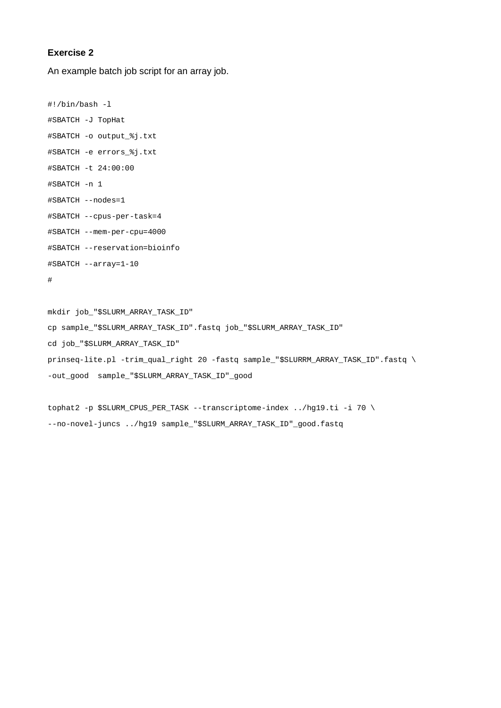#### **Exercise 2**

An example batch job script for an array job.

```
#!/bin/bash -l
#SBATCH -J TopHat
#SBATCH -o output_%j.txt
#SBATCH -e errors_%j.txt
#SBATCH -t 24:00:00
#SBATCH -n 1
#SBATCH --nodes=1
#SBATCH --cpus-per-task=4
#SBATCH --mem-per-cpu=4000
#SBATCH --reservation=bioinfo
#SBATCH --array=1-10
#
```

```
mkdir job_"$SLURM_ARRAY_TASK_ID"
cp sample_"$SLURM_ARRAY_TASK_ID".fastq job_"$SLURM_ARRAY_TASK_ID"
cd job_"$SLURM_ARRAY_TASK_ID"
prinseq-lite.pl -trim_qual_right 20 -fastq sample_"$SLURRM_ARRAY_TASK_ID".fastq \
-out_good sample_"$SLURM_ARRAY_TASK_ID"_good
```

```
tophat2 -p $SLURM_CPUS_PER_TASK --transcriptome-index ../hg19.ti -i 70 \
--no-novel-juncs ../hg19 sample_"$SLURM_ARRAY_TASK_ID"_good.fastq
```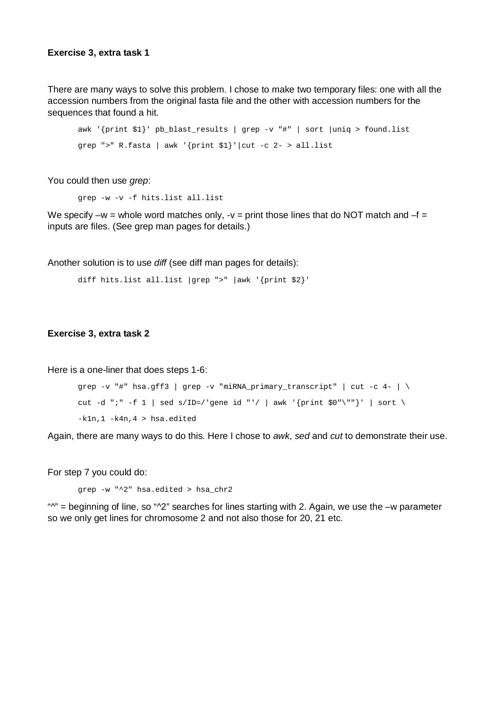#### **Exercise 3, extra task 1**

There are many ways to solve this problem. I chose to make two temporary files: one with all the accession numbers from the original fasta file and the other with accession numbers for the sequences that found a hit.

```
awk '{print $1}' pb_blast_results | grep -v "#" | sort |uniq > found.list
grep ">" R.fasta | awk '{print $1}'|cut -c 2- > all.list
```
You could then use *grep*:

grep -w -v -f hits.list all.list

We specify –w = whole word matches only, -v = print those lines that do NOT match and  $-f =$ inputs are files. (See grep man pages for details.)

Another solution is to use *diff* (see diff man pages for details):

```
diff hits.list all.list |grep ">" |awk '{print $2}'
```
#### **Exercise 3, extra task 2**

Here is a one-liner that does steps 1-6:

```
grep -v "#" hsa.gff3 | grep -v "miRNA_primary_transcript" | cut -c 4- | \backslashcut -d ";" -f 1 | sed s/ID=/'gene id "'/ | awk '{print $0"\""}' | sort \
-k1n,1 -k4n,4 > hsa.edited
```
Again, there are many ways to do this. Here I chose to *awk*, *sed* and *cut* to demonstrate their use.

For step 7 you could do:

grep -w "^2" hsa.edited > hsa\_chr2

" $N''$  = beginning of line, so " $N^2$ " searches for lines starting with 2. Again, we use the –w parameter so we only get lines for chromosome 2 and not also those for 20, 21 etc.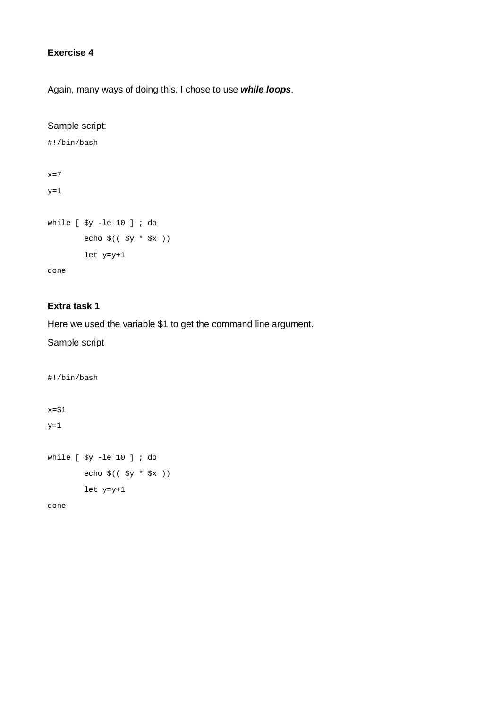## **Exercise 4**

Again, many ways of doing this. I chose to use *while loops*.

## Sample script:

```
#!/bin/bash
x=7y=1while [ $y -le 10 ] ; do
        echo $(( $y * $x ))
         let y=y+1
done
```
# **Extra task 1**

## Here we used the variable \$1 to get the command line argument.

#### Sample script

```
#!/bin/bash
x=$1
y=1while [ $y -le 10 ] ; do
         echo $(( $y * $x ))
        let y=y+1
```
done